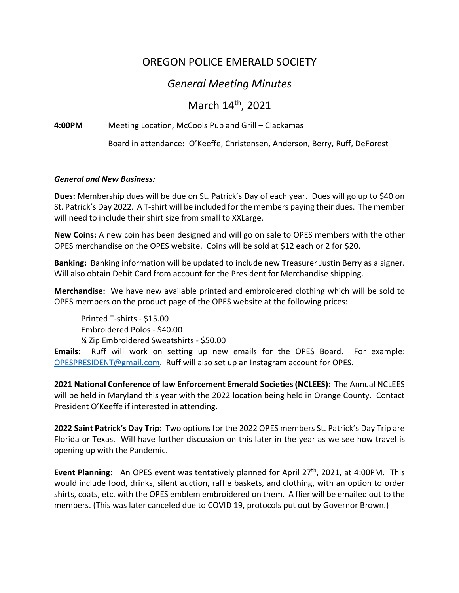## OREGON POLICE EMERALD SOCIETY

## *General Meeting Minutes*

March 14<sup>th</sup>, 2021

**4:00PM** Meeting Location, McCools Pub and Grill – Clackamas

Board in attendance: O'Keeffe, Christensen, Anderson, Berry, Ruff, DeForest

## *General and New Business:*

**Dues:** Membership dues will be due on St. Patrick's Day of each year. Dues will go up to \$40 on St. Patrick's Day 2022. A T-shirt will be included for the members paying their dues. The member will need to include their shirt size from small to XXLarge.

**New Coins:** A new coin has been designed and will go on sale to OPES members with the other OPES merchandise on the OPES website. Coins will be sold at \$12 each or 2 for \$20.

**Banking:** Banking information will be updated to include new Treasurer Justin Berry as a signer. Will also obtain Debit Card from account for the President for Merchandise shipping.

**Merchandise:** We have new available printed and embroidered clothing which will be sold to OPES members on the product page of the OPES website at the following prices:

Printed T-shirts - \$15.00 Embroidered Polos - \$40.00 ¼ Zip Embroidered Sweatshirts - \$50.00

**Emails:** Ruff will work on setting up new emails for the OPES Board. For example: OPESPRESIDENT@gmail.com. Ruff will also set up an Instagram account for OPES.

**2021 National Conference of law Enforcement Emerald Societies (NCLEES):** The Annual NCLEES will be held in Maryland this year with the 2022 location being held in Orange County. Contact President O'Keeffe if interested in attending.

**2022 Saint Patrick's Day Trip:** Two options for the 2022 OPES members St. Patrick's Day Trip are Florida or Texas. Will have further discussion on this later in the year as we see how travel is opening up with the Pandemic.

**Event Planning:** An OPES event was tentatively planned for April 27<sup>th</sup>, 2021, at 4:00PM. This would include food, drinks, silent auction, raffle baskets, and clothing, with an option to order shirts, coats, etc. with the OPES emblem embroidered on them. A flier will be emailed out to the members. (This was later canceled due to COVID 19, protocols put out by Governor Brown.)